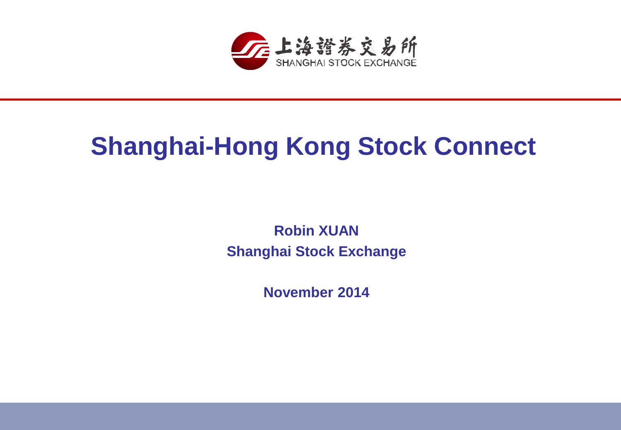

## **Shanghai-Hong Kong Stock Connect**

**Robin XUAN Shanghai Stock Exchange**

**November 2014**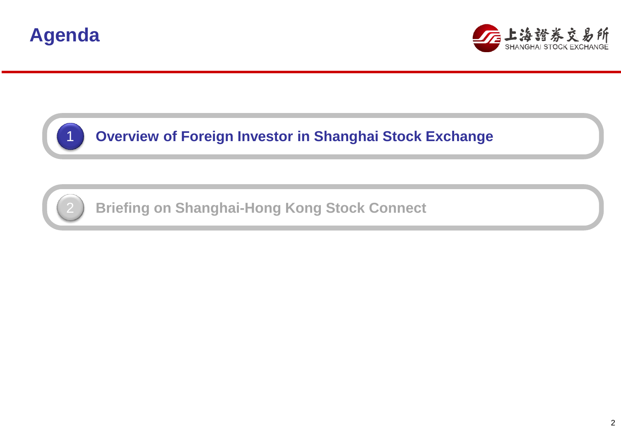





**Overview of Foreign Investor in Shanghai Stock Exchange**



**Briefing on Shanghai-Hong Kong Stock Connect**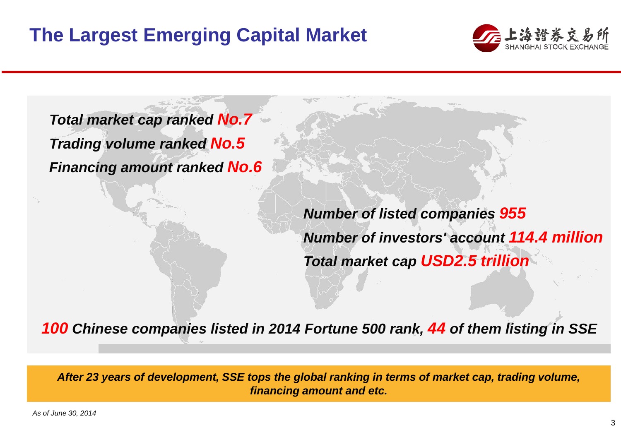

*Total market cap ranked No.7 Trading volume ranked No.5 Financing amount ranked No.6*

> *Number of listed companies 955 Number of investors' account 114.4 million Total market cap USD2.5 trillion*

*100 Chinese companies listed in 2014 Fortune 500 rank, 44 of them listing in SSE*

*After 23 years of development, SSE tops the global ranking in terms of market cap, trading volume, financing amount and etc.*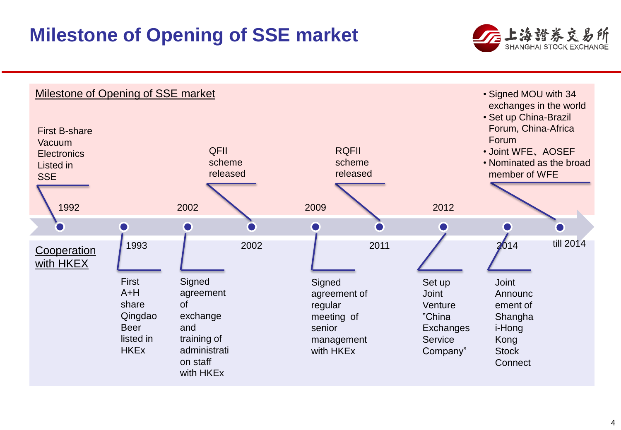#### **Milestone of Opening of SSE market**





4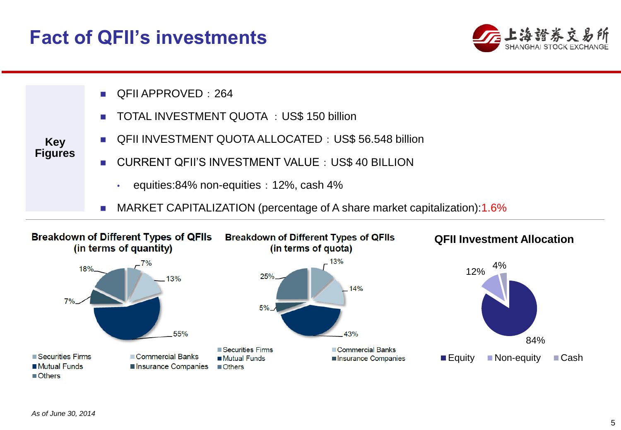#### **Fact of QFII's investments**





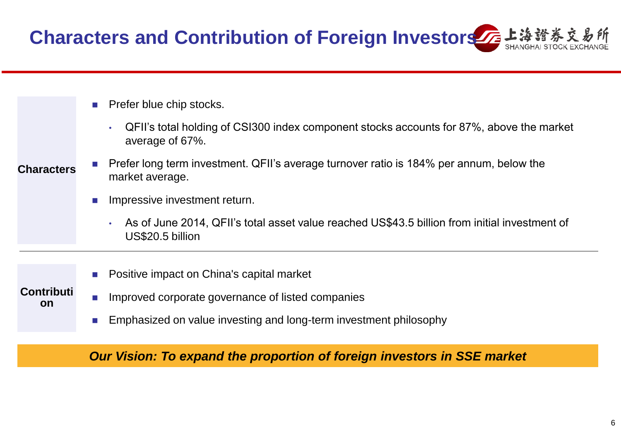**Characters and Contribution of Foreign Investors 左上海證券** 

- Prefer blue chip stocks.
	- QFII's total holding of CSI300 index component stocks accounts for 87%, above the market average of 67%.
- Prefer long term investment. QFII's average turnover ratio is 184% per annum, below the market average. **Characters**
	- **Impressive investment return.**

**Contributi on**

- As of June 2014, QFII's total asset value reached US\$43.5 billion from initial investment of US\$20.5 billion
- Positive impact on China's capital market
- **IMPROVED COPPORATE GOVERNATE OF LISTED COMPANIES** 
	- **Emphasized on value investing and long-term investment philosophy**

*Our Vision: To expand the proportion of foreign investors in SSE market*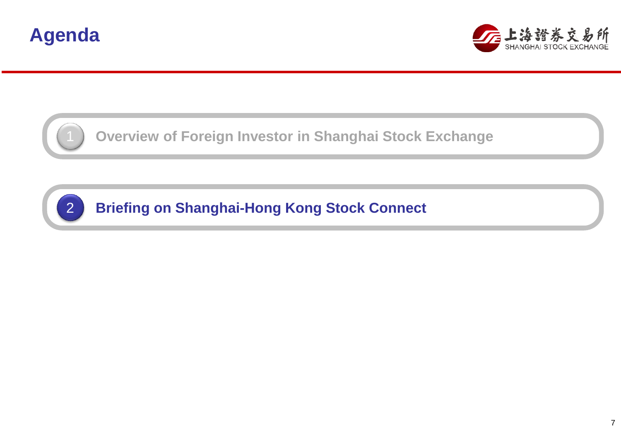



**Overview of Foreign Investor in Shanghai Stock Exchange**

**Briefing on Shanghai-Hong Kong Stock Connect**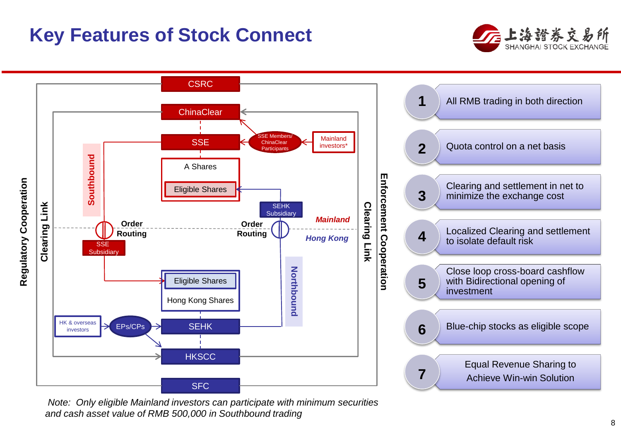#### **Key Features of Stock Connect**





*Note: Only eligible Mainland investors can participate with minimum securities and cash asset value of RMB 500,000 in Southbound trading*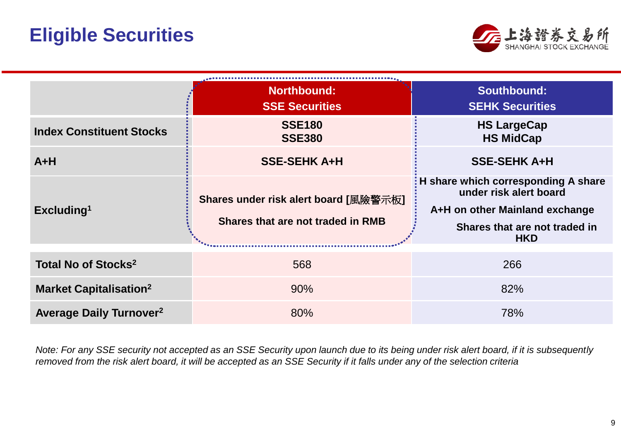

|                                           | <b>Northbound:</b><br><b>SSE Securities</b>                                | <b>Southbound:</b><br><b>SEHK Securities</b>                                                                                                     |  |  |  |
|-------------------------------------------|----------------------------------------------------------------------------|--------------------------------------------------------------------------------------------------------------------------------------------------|--|--|--|
| <b>Index Constituent Stocks</b>           | <b>SSE180</b><br><b>SSE380</b>                                             | <b>HS LargeCap</b><br><b>HS MidCap</b>                                                                                                           |  |  |  |
| $A+H$                                     | <b>SSE-SEHK A+H</b>                                                        | <b>SSE-SEHK A+H</b>                                                                                                                              |  |  |  |
| Excluding <sup>1</sup>                    | Shares under risk alert board [風險警示板]<br>Shares that are not traded in RMB | : H share which corresponding A share<br>under risk alert board<br>A+H on other Mainland exchange<br>Shares that are not traded in<br><b>HKD</b> |  |  |  |
| Total No of Stocks <sup>2</sup>           | 568                                                                        | 266                                                                                                                                              |  |  |  |
| <b>Market Capitalisation<sup>2</sup></b>  | 90%                                                                        | 82%                                                                                                                                              |  |  |  |
| <b>Average Daily Turnover<sup>2</sup></b> | 80%                                                                        | 78%                                                                                                                                              |  |  |  |

*Note: For any SSE security not accepted as an SSE Security upon launch due to its being under risk alert board, if it is subsequently removed from the risk alert board, it will be accepted as an SSE Security if it falls under any of the selection criteria*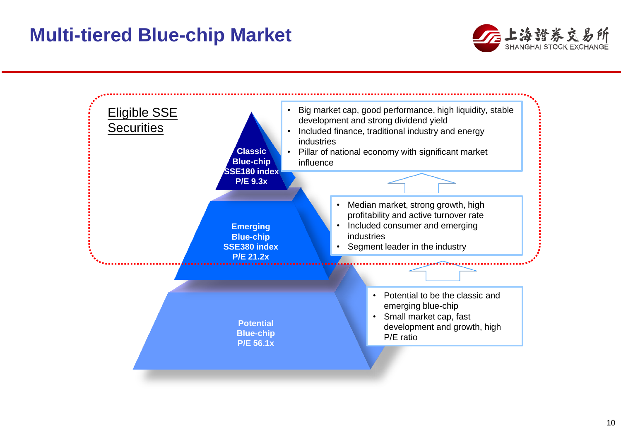#### **Multi-tiered Blue-chip Market**



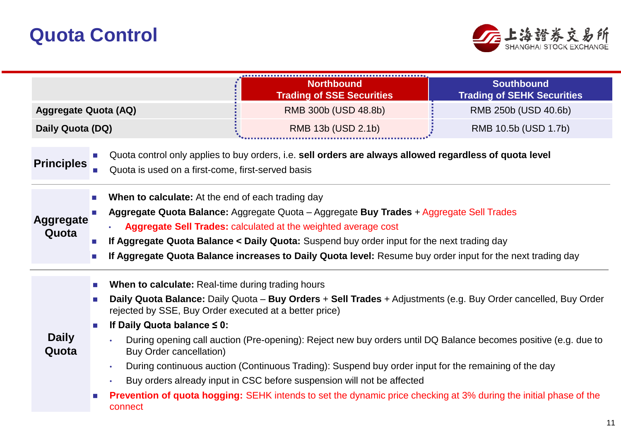

|                             |                                                                                                                                                                                                                                                                                                                                                                                                                                      | <b>Northbound</b><br><b>Trading of SSE Securities</b>                                                                                                        | <b>Southbound</b><br><b>Trading of SEHK Securities</b> |  |  |  |
|-----------------------------|--------------------------------------------------------------------------------------------------------------------------------------------------------------------------------------------------------------------------------------------------------------------------------------------------------------------------------------------------------------------------------------------------------------------------------------|--------------------------------------------------------------------------------------------------------------------------------------------------------------|--------------------------------------------------------|--|--|--|
| <b>Aggregate Quota (AQ)</b> |                                                                                                                                                                                                                                                                                                                                                                                                                                      | RMB 300b (USD 48.8b)                                                                                                                                         | RMB 250b (USD 40.6b)                                   |  |  |  |
| Daily Quota (DQ)            |                                                                                                                                                                                                                                                                                                                                                                                                                                      | RMB 13b (USD 2.1b)                                                                                                                                           | RMB 10.5b (USD 1.7b)                                   |  |  |  |
| <b>Principles</b>           |                                                                                                                                                                                                                                                                                                                                                                                                                                      | Quota control only applies to buy orders, i.e. sell orders are always allowed regardless of quota level<br>Quota is used on a first-come, first-served basis |                                                        |  |  |  |
| <b>Aggregate</b><br>Quota   | When to calculate: At the end of each trading day<br>$\sim$<br>Aggregate Quota Balance: Aggregate Quota – Aggregate Buy Trades + Aggregate Sell Trades<br>Aggregate Sell Trades: calculated at the weighted average cost<br>If Aggregate Quota Balance < Daily Quota: Suspend buy order input for the next trading day<br>If Aggregate Quota Balance increases to Daily Quota level: Resume buy order input for the next trading day |                                                                                                                                                              |                                                        |  |  |  |
|                             | When to calculate: Real-time during trading hours<br>$\sim$                                                                                                                                                                                                                                                                                                                                                                          |                                                                                                                                                              |                                                        |  |  |  |
| <b>Daily</b><br>Quota       | Daily Quota Balance: Daily Quota - Buy Orders + Sell Trades + Adjustments (e.g. Buy Order cancelled, Buy Order<br>rejected by SSE, Buy Order executed at a better price)                                                                                                                                                                                                                                                             |                                                                                                                                                              |                                                        |  |  |  |
|                             | If Daily Quota balance $\leq 0$ :<br>$\sim$                                                                                                                                                                                                                                                                                                                                                                                          |                                                                                                                                                              |                                                        |  |  |  |
|                             | <b>Buy Order cancellation)</b>                                                                                                                                                                                                                                                                                                                                                                                                       | During opening call auction (Pre-opening): Reject new buy orders until DQ Balance becomes positive (e.g. due to                                              |                                                        |  |  |  |
|                             | $\bullet$                                                                                                                                                                                                                                                                                                                                                                                                                            | During continuous auction (Continuous Trading): Suspend buy order input for the remaining of the day                                                         |                                                        |  |  |  |
|                             |                                                                                                                                                                                                                                                                                                                                                                                                                                      | Buy orders already input in CSC before suspension will not be affected                                                                                       |                                                        |  |  |  |
|                             | connect                                                                                                                                                                                                                                                                                                                                                                                                                              | <b>Prevention of quota hogging:</b> SEHK intends to set the dynamic price checking at 3% during the initial phase of the                                     |                                                        |  |  |  |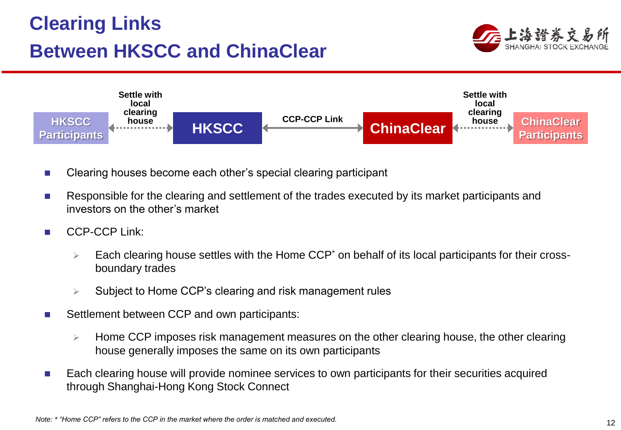### **Clearing Links Between HKSCC and ChinaClear**





- Clearing houses become each other's special clearing participant
- Responsible for the clearing and settlement of the trades executed by its market participants and investors on the other's market
- CCP-CCP Link:
	- Each clearing house settles with the Home CCP\* on behalf of its local participants for their crossboundary trades
	- Subject to Home CCP's clearing and risk management rules
- Settlement between CCP and own participants:
	- $\triangleright$  Home CCP imposes risk management measures on the other clearing house, the other clearing house generally imposes the same on its own participants
- Each clearing house will provide nominee services to own participants for their securities acquired through Shanghai-Hong Kong Stock Connect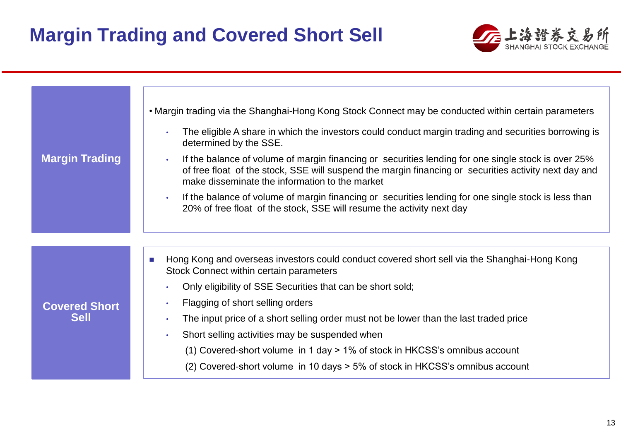#### **Margin Trading and Covered Short Sell**



| <b>Margin Trading</b>               | • Margin trading via the Shanghai-Hong Kong Stock Connect may be conducted within certain parameters<br>The eligible A share in which the investors could conduct margin trading and securities borrowing is<br>determined by the SSE.<br>If the balance of volume of margin financing or securities lending for one single stock is over 25%<br>of free float of the stock, SSE will suspend the margin financing or securities activity next day and<br>make disseminate the information to the market<br>If the balance of volume of margin financing or securities lending for one single stock is less than<br>20% of free float of the stock, SSE will resume the activity next day |
|-------------------------------------|-------------------------------------------------------------------------------------------------------------------------------------------------------------------------------------------------------------------------------------------------------------------------------------------------------------------------------------------------------------------------------------------------------------------------------------------------------------------------------------------------------------------------------------------------------------------------------------------------------------------------------------------------------------------------------------------|
| <b>Covered Short</b><br><b>Sell</b> | Hong Kong and overseas investors could conduct covered short sell via the Shanghai-Hong Kong<br>m.<br>Stock Connect within certain parameters<br>Only eligibility of SSE Securities that can be short sold;<br>Flagging of short selling orders<br>The input price of a short selling order must not be lower than the last traded price<br>Short selling activities may be suspended when<br>(1) Covered-short volume in 1 day > 1% of stock in HKCSS's omnibus account<br>(2) Covered-short volume in 10 days > 5% of stock in HKCSS's omnibus account                                                                                                                                  |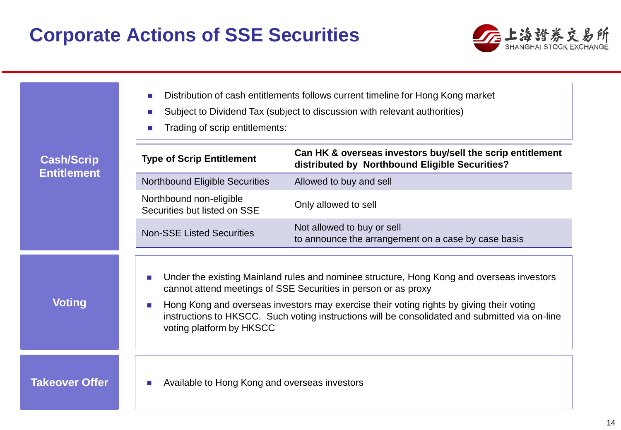

| <b>Cash/Scrip</b><br><b>Entitlement</b> | Distribution of cash entitlements follows current timeline for Hong Kong market<br><b>COL</b><br>Subject to Dividend Tax (subject to discussion with relevant authorities)<br>Trading of scrip entitlements:                                          |                                                                                                              |  |  |
|-----------------------------------------|-------------------------------------------------------------------------------------------------------------------------------------------------------------------------------------------------------------------------------------------------------|--------------------------------------------------------------------------------------------------------------|--|--|
|                                         | <b>Type of Scrip Entitlement</b>                                                                                                                                                                                                                      | Can HK & overseas investors buy/sell the scrip entitlement<br>distributed by Northbound Eligible Securities? |  |  |
|                                         | <b>Northbound Eligible Securities</b>                                                                                                                                                                                                                 | Allowed to buy and sell                                                                                      |  |  |
|                                         | Northbound non-eligible<br>Securities but listed on SSE                                                                                                                                                                                               | Only allowed to sell                                                                                         |  |  |
|                                         | <b>Non-SSE Listed Securities</b>                                                                                                                                                                                                                      | Not allowed to buy or sell<br>to announce the arrangement on a case by case basis                            |  |  |
| <b>Voting</b>                           | Under the existing Mainland rules and nominee structure, Hong Kong and overseas investors<br>m.<br>cannot attend meetings of SSE Securities in person or as proxy                                                                                     |                                                                                                              |  |  |
|                                         | Hong Kong and overseas investors may exercise their voting rights by giving their voting<br>$\mathcal{L}_{\mathcal{A}}$<br>instructions to HKSCC. Such voting instructions will be consolidated and submitted via on-line<br>voting platform by HKSCC |                                                                                                              |  |  |
| <b>Takeover Offer</b>                   | Available to Hong Kong and overseas investors                                                                                                                                                                                                         |                                                                                                              |  |  |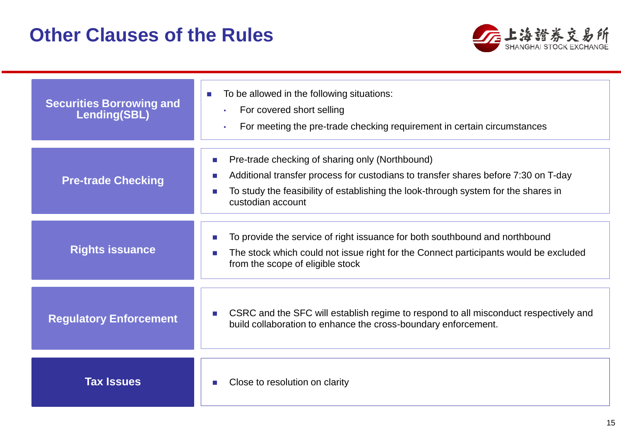#### **Other Clauses of the Rules**



| <b>Securities Borrowing and</b><br><b>Lending(SBL)</b> | To be allowed in the following situations:<br>$\sim$<br>For covered short selling<br>$\bullet$<br>For meeting the pre-trade checking requirement in certain circumstances<br>$\bullet$                                                           |  |
|--------------------------------------------------------|--------------------------------------------------------------------------------------------------------------------------------------------------------------------------------------------------------------------------------------------------|--|
| <b>Pre-trade Checking</b>                              | Pre-trade checking of sharing only (Northbound)<br>Additional transfer process for custodians to transfer shares before 7:30 on T-day<br>To study the feasibility of establishing the look-through system for the shares in<br>custodian account |  |
| <b>Rights issuance</b>                                 | To provide the service of right issuance for both southbound and northbound<br>The stock which could not issue right for the Connect participants would be excluded<br>from the scope of eligible stock                                          |  |
| <b>Regulatory Enforcement</b>                          | CSRC and the SFC will establish regime to respond to all misconduct respectively and<br>build collaboration to enhance the cross-boundary enforcement.                                                                                           |  |
| <b>Tax Issues</b>                                      | Close to resolution on clarity                                                                                                                                                                                                                   |  |